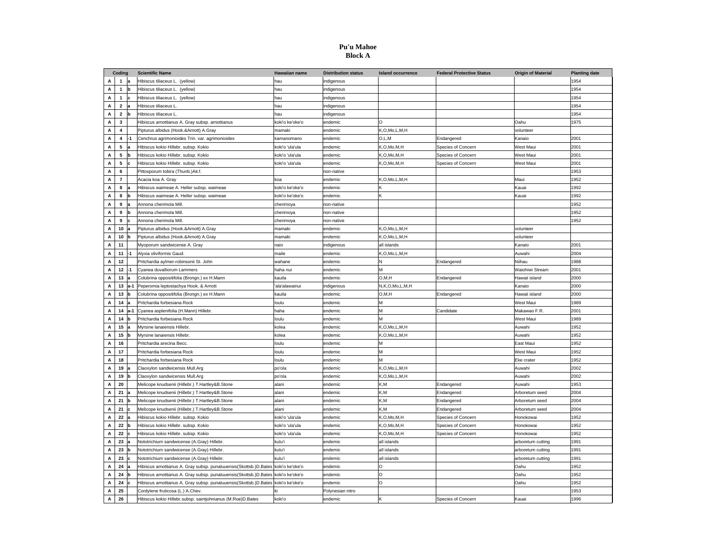#### **Pu'u Mahoe Block A**

| Coding |                         |        | <b>Scientific Name</b>                                                            | Hawaiian name   | <b>Distribution status</b> | <b>Island occurrence</b> | <b>Federal Protective Status</b> | <b>Origin of Material</b><br><b>Planting date</b> |      |
|--------|-------------------------|--------|-----------------------------------------------------------------------------------|-----------------|----------------------------|--------------------------|----------------------------------|---------------------------------------------------|------|
| A      | $\mathbf{1}$            |        | Hibiscus tiliaceus L. (yellow)                                                    | hau             | indigenous                 |                          |                                  |                                                   | 1954 |
| Α      | $\mathbf{1}$            | lb     | Hibiscus tiliaceus L. (yellow)                                                    | hau             | indigenous                 |                          |                                  |                                                   | 1954 |
| А      | $\mathbf{1}$            | lc.    | Hibiscus tiliaceus L. (yellow)                                                    | hau             | ndigenous                  |                          |                                  |                                                   | 954  |
| А      | $\overline{2}$          |        | Hibiscus tiliaceus L                                                              | hau             | indigenous                 |                          |                                  |                                                   | 1954 |
| А      | $\mathbf 2$             | lb     | Hibiscus tiliaceus L                                                              | hau             | indigenous                 |                          |                                  |                                                   | 1954 |
| Α      | 3                       |        | Hibiscus arnottianus A. Gray subsp. arnottianus                                   | koki'o ke'oke'o | endemic                    | $\circ$                  |                                  | Oahu                                              | 1975 |
| А      | $\overline{\mathbf{4}}$ |        | Pipturus albidus (Hook.&Arnott) A.Gray                                            | mamaki          | endemic                    | K.O.Mo.L.M.H             |                                  | volunteer                                         |      |
| А      | $\overline{\mathbf{4}}$ | -1     | Cenchrus agrimonioides Trin. var. agrimonioides                                   | kamanomano      | endemic                    | O.L.M                    | Endangered                       | Canaio                                            | 2001 |
| А      | 5                       | la     | Hibiscus kokio Hillebr. subsp. Kokio                                              | koki'o 'ula'ula | endemic                    | K,O,Mo,M,H               | Species of Concern               | West Maui                                         | 2001 |
| А      | 5                       | b      | Hibiscus kokio Hillebr. subsp. Kokio                                              | koki'o 'ula'ula | endemic                    | K,O,Mo,M,H               | Species of Concern               | West Maui                                         | 2001 |
| Α      | 5                       | lc     | Hibiscus kokio Hillebr. subsp. Kokio                                              | koki'o 'ula'ula | endemic                    | K,O,Mo,M,H               | Species of Concern               | West Maui                                         | 2001 |
| А      | 6                       |        | Pittosporum tobira (Thunb.)Ait.f.                                                 |                 | non-native                 |                          |                                  |                                                   | 1953 |
| А      | $\overline{7}$          |        | Acacia koa A. Gray                                                                | koa             | endemic                    | K,O,Mo,L,M,H             |                                  | Maui                                              | 1952 |
| А      | 8                       |        | Hibiscus waimeae A. Heller subsp. waimeae                                         | koki'o ke'oke'o | endemic                    |                          |                                  | Kauai                                             | 1992 |
| Α      | 8                       | b      | Hibiscus waimeae A. Heller subsp. waimeae                                         | koki'o ke'oke'o | endemic                    | ĸ                        |                                  | Kauai                                             | 1992 |
| А      | 9                       |        | Annona cherimola Mill.                                                            | cherimoya       | non-native                 |                          |                                  |                                                   | 1952 |
| Α      | 9                       | lь     | Annona cherimola Mill.                                                            | cherimoya       | non-native                 |                          |                                  |                                                   | 1952 |
| А      | 9                       |        | Annona cherimola Mill.                                                            | cherimoya       | non-native                 |                          |                                  |                                                   | 1952 |
| А      | 10                      |        | Pipturus albidus (Hook.&Arnott) A.Gray                                            | mamaki          | endemic                    | K,O,Mo,L,M,H             |                                  | volunteer                                         |      |
| Α      | 10                      | b      | Pipturus albidus (Hook.&Arnott) A.Gray                                            | mamaki          | endemic                    | K,O,Mo,L,M,H             |                                  | volunteer                                         |      |
| А      | 11                      |        | Myoporum sandwicense A. Gray                                                      | naio            | indigenous                 | all islands              |                                  | Kanaic                                            | 2001 |
| Α      | 11                      | $-1$   | Alyxia oliviformis Gaud.                                                          | maile           | endemic                    | K,O,Mo,L,M,H             |                                  | Auwahi                                            | 2004 |
| Α      | 12                      |        | Pritchardia aylmer-robinsonii St. John                                            | wahane          | endemic                    | и                        | Endangered                       | Niihau                                            | 1988 |
| А      | 12                      | -1     | Cyanea duvalliorum Lammers                                                        | haha nui        | endemic                    | M                        |                                  | Waiohiwi Stream                                   | 2001 |
| А      | 13                      |        | Colubrina oppositifolia (Brongn.) ex H.Mann                                       | kauila          | endemic                    | O, M, H                  | Endangered                       | Hawaii island                                     | 2000 |
| Α      | 13                      | la-1   | Peperomia leptostachya Hook. & Arnott                                             | ala'alawainui   | indigenous                 | N,K,O,Mo,L,M,H           |                                  | Kanaio                                            | 2000 |
| A      | 13                      | lh     | Colubrina oppositifolia (Brongn.) ex H.Mann                                       | kauila          | endemic                    | O.M.H                    | Endangered                       | Hawaii island                                     | 2000 |
| Α      | 14                      |        | Pritchardia forbesiana Rock                                                       | loulu           | endemic                    | M                        |                                  | West Maui                                         | 1989 |
| А      | 14                      | $Ia-1$ | Cyanea asplenifolia (H.Mann) Hillebr.                                             | haha            | endemic                    | M                        | Candidate                        | Makawao F.R.                                      | 2001 |
| А      | 14                      | lь     | Pritchardia forbesiana Rock                                                       | loulu           | endemic                    |                          |                                  | West Maui                                         | 1989 |
| А      | 15                      | la     | Myrsine lanaiensis Hillebr.                                                       | kolea           | endemic                    | K,O,Mo,L,M,H             |                                  | Auwahi                                            | 1952 |
| Α      | 15                      | lh     | Myrsine lanaiensis Hillebr.                                                       | kolea           | endemic                    | K,O,Mo,L,M,H             |                                  | Auwah                                             | 1952 |
| А      | 16                      |        | Pritchardia arecina Becc                                                          | loulu           | endemic                    | M                        |                                  | East Maui                                         | 1952 |
| А      | 17                      |        | Pritchardia forbesiana Rock                                                       | loulu           | endemic                    | M                        |                                  | West Maui                                         | 1952 |
| А      | 18                      |        | Pritchardia forbesiana Rock                                                       | loulu           | endemic                    | ٨                        |                                  | Eke crater                                        | 1952 |
| А      | 19                      |        | Claoxylon sandwicensis Mull.Arg                                                   | po'ola          | endemic                    | K,O,Mo,L,M,H             |                                  | Auwahi                                            | 2002 |
| Α      | 19                      | b      | Claoxylon sandwicensis Mull.Arg                                                   | po'ola          | endemic                    | K,O,Mo,L,M,H             |                                  | Auwahi                                            | 2002 |
| А      | 20                      |        | Melicope knudsenii (Hillebr.) T.Hartley&B.Stone                                   | alani           | endemic                    | K,M                      | Endangered                       | Auwahi                                            | 1953 |
| А      | 21                      |        | Melicope knudsenii (Hillebr.) T.Hartley&B.Stone                                   | alani           | endemic                    | K,M                      | Endangered                       | Arboretum seed                                    | 2004 |
| А      | 21                      | lb     | Melicope knudsenii (Hillebr.) T.Hartley&B.Stone                                   | alani           | endemic                    | K,M                      | Endangered                       | Arboretum seed                                    | 2004 |
| А      | 21                      | c      | Melicope knudsenii (Hillebr.) T.Hartley&B.Stone                                   | alani           | endemic                    | K.M                      | Endangered                       | Arboretum seed                                    | 2004 |
| Α      | 22                      |        | Hibiscus kokio Hillebr. subsp. Kokio                                              | koki'o 'ula'ula | endemic                    | K,O,Mo,M,H               | Species of Concern               | Honokowai                                         | 1952 |
| А      | 22                      | lb     | Hibiscus kokio Hillebr. subsp. Kokio                                              | koki'o 'ula'ula | endemic                    | K,O,Mo,M,H               | Species of Concern               | Honokowai                                         | 1952 |
| А      | 22                      |        | Hibiscus kokio Hillebr. subsp. Kokio                                              | koki'o 'ula'ula | endemic                    | K,O,Mo,M,H               | Species of Concern               | Honokowai                                         | 1952 |
| А      | 23                      |        | Nototrichium sandwicense (A.Gray) Hillebr.                                        | kulu'i          | endemic                    | all islands              |                                  | arboretum cutting                                 | 1991 |
| Α      | 23                      | lb     | Nototrichium sandwicense (A.Gray) Hillebr.                                        | kulu'i          | endemic                    | all islands              |                                  | arboretum cutting                                 | 1991 |
| А      | 23                      |        | Nototrichium sandwicense (A.Gray) Hillebr.                                        | kulu'i          | endemic                    | all islands              |                                  | arboretum cutting                                 | 1991 |
| A      | 24                      |        | Hibiscus arnottianus A. Gray subsp. punaluuensis(Skottsb.)D.Bates koki'o ke'oke'o |                 | endemic                    | O                        |                                  | Oahu                                              | 1952 |
| A      | 24                      | ١h     | Hibiscus arnottianus A. Gray subsp. punaluuensis(Skottsb.)D.Bates                 | koki'o ke'oke'o | endemic                    | $\Omega$                 |                                  | Oahu                                              | 1952 |
| А      | 24                      |        | Hibiscus arnottianus A. Gray subsp. punaluuensis(Skottsb.)D.Bates koki'o ke'oke'o |                 | endemic                    | $\circ$                  |                                  | Oahu                                              | 1952 |
| А      | 25                      |        | Cordylene fruticosa (L.) A.Chev.                                                  |                 | Polynesian intro           |                          |                                  |                                                   | 1953 |
| А      | 26                      |        | Hibiscus kokio Hillebr.subsp. saintjohnianus (M.Roe)D.Bates                       | koki'o          | endemic                    |                          | Species of Concern               | Kauai                                             | 1996 |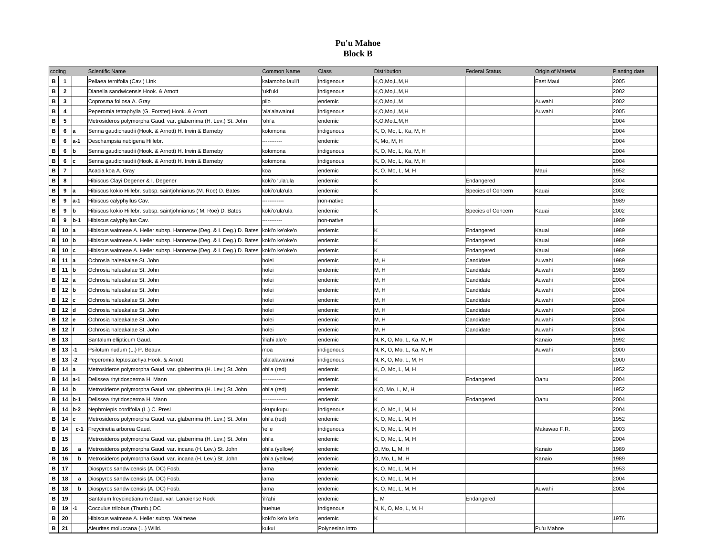### **Pu'u Mahoe Block B**

| coding                       |                         |          | <b>Scientific Name</b>                                                                 | <b>Common Name</b>        | Class            | Distribution              | <b>Federal Status</b> | Origin of Material | <b>Planting date</b> |
|------------------------------|-------------------------|----------|----------------------------------------------------------------------------------------|---------------------------|------------------|---------------------------|-----------------------|--------------------|----------------------|
| $\mathbf{B}$                 | $\overline{1}$          |          | Pellaea ternifolia (Cav.) Link                                                         | kalamoho lauli'i          | indigenous       | K,O,Mo,L,M,H              |                       | East Maui          | 2005                 |
| $\mathbf{B}$                 | $\overline{2}$          |          | Dianella sandwicensis Hook, & Arnott                                                   | 'uki'uki                  | indigenous       | K,O,Mo,L,M,H              |                       |                    | 2002                 |
| $\mathbf{B}$                 | $\overline{\mathbf{3}}$ |          | Coprosma foliosa A. Gray                                                               | pilo                      | endemic          | K,O,Mo,L,M                |                       | Auwahi             | 2002                 |
| В                            | 4                       |          | Peperomia tetraphylla (G. Forster) Hook. & Arnott                                      | 'ala'alawainui            | indigenous       | K,O,Mo,L,M,H              |                       | Auwahi             | 2005                 |
| $\, {\bf B} \,$              | 5                       |          | Metrosideros polymorpha Gaud. var. glaberrima (H. Lev.) St. John                       | 'ohi'a                    | endemic          | K,O,Mo,L,M,H              |                       |                    | 2004                 |
| $\, {\bf B}$                 | 6                       |          | Senna gaudichaudii (Hook. & Arnott) H. Irwin & Barneby                                 | kolomona                  | indigenous       | K, O, Mo, L, Ka, M, H     |                       |                    | 2004                 |
| $\, {\bf B}$                 | 6                       | $a-1$    | Deschampsia nubigena Hillebr.                                                          |                           | endemic          | K, Mo, M, H               |                       |                    | 2004                 |
| B                            | 6                       | lb       | Senna gaudichaudii (Hook. & Arnott) H. Irwin & Barneby                                 | kolomona                  | indigenous       | K, O, Mo, L, Ka, M, H     |                       |                    | 2004                 |
| B                            | 6                       | c        | Senna gaudichaudii (Hook. & Arnott) H. Irwin & Barneby                                 | kolomona                  | indigenous       | K, O, Mo, L, Ka, M, H     |                       |                    | 2004                 |
| $\, {\bf B} \,$              | $\overline{7}$          |          | Acacia koa A. Gray                                                                     | koa                       | endemic          | K, O, Mo, L, M, H         |                       | Maui               | 1952                 |
| $\, {\bf B} \,$              | 8                       |          | Hibiscus Clayi Degener & I. Degener                                                    | koki'o 'ula'ula           | endemic          | K                         | Endangered            |                    | 2004                 |
| $\, {\bf B}$                 | 9                       |          | Hibiscus kokio Hillebr. subsp. saintjohnianus (M. Roe) D. Bates                        | koki'o'ula'ula            | endemic          | K                         | Species of Concern    | Kauai              | 2002                 |
| $\, {\bf B}$                 | 9                       | $a-1$    | Hibiscus calyphyllus Cav.                                                              | ----------                | non-native       |                           |                       |                    | 1989                 |
| B                            | 9                       | Ih       | Hibiscus kokio Hillebr. subsp. saintjohnianus (M. Roe) D. Bates                        | koki'o'ula'ula            | endemic          | K                         | Species of Concern    | Kauai              | 2002                 |
| $\mathbf{B}$                 | 9                       | $b-1$    | Hibiscus calyphyllus Cav.                                                              |                           | non-native       |                           |                       |                    | 1989                 |
| В                            | 10                      | la       | Hibiscus waimeae A. Heller subsp. Hannerae (Deg. & I. Deg.) D. Bates koki'o ke'oke'o   |                           | endemic          | K                         | Endangered            | Kauai              | 1989                 |
| $\, {\bf B}$                 | 10                      | lh       | Hibiscus waimeae A. Heller subsp. Hannerae (Deg. & I. Deg.) D. Bates   koki'o ke'oke'o |                           | endemic          | K                         | Endangered            | Kauai              | 1989                 |
| $\, {\bf B}$                 | 10                      | Ċ        | Hibiscus waimeae A. Heller subsp. Hannerae (Deg. & I. Deg.) D. Bates koki'o ke'oke'o   |                           | endemic          | K                         | Endangered            | Kauai              | 1989                 |
| $\, {\bf B}$                 | 11                      |          | Ochrosia haleakalae St. John                                                           | holei                     | endemic          | M, H                      | Candidate             | Auwahi             | 1989                 |
| B                            | 11                      | lh       | Ochrosia haleakalae St. John                                                           | holei                     | endemic          | M, H                      | Candidate             | Auwahi             | 1989                 |
| $\mathbf{B}$                 | 12<br>la                |          | Ochrosia haleakalae St. John                                                           | holei                     | endemic          | M, H                      | Candidate             | Auwahi             | 2004                 |
| $\, {\bf B}$                 | 12                      |          | Ochrosia haleakalae St. John                                                           | holei                     | endemic          | M, H                      | Candidate             | Auwahi             | 2004                 |
| В                            | 12                      | <b>P</b> | Ochrosia haleakalae St. John                                                           | holei                     | endemic          | M, H                      | Candidate             | Auwahi             | 2004                 |
| $\, {\bf B}$                 | 12                      | ld       | Ochrosia haleakalae St. John                                                           | holei                     | endemic          | M, H                      | Candidate             | Auwahi             | 2004                 |
| $\, {\bf B} \,$              | 12                      |          | Ochrosia haleakalae St. John                                                           | holei                     | endemic          | M.H                       | Candidate             | Auwahi             | 2004                 |
| $\mathbf{B}$                 | 12                      |          | Ochrosia haleakalae St. John                                                           | holei                     | endemic          | M, H                      | Candidate             | Auwahi             | 2004                 |
| $\, {\bf B} \,$              | 13                      |          | Santalum ellipticum Gaud.                                                              | 'iliahi alo'e             | endemic          | N, K, O, Mo, L, Ka, M, H  |                       | Kanaio             | 1992                 |
| В                            | 13                      | $-1$     | Psilotum nudum (L.) P. Beauv.                                                          | moa                       | indigenous       | N, K, O, Mo, L, Ka, M, H  |                       | Auwahi             | 2000                 |
| $\, {\bf B}$                 | 13                      | $-2$     | Peperomia leptostachya Hook. & Arnott                                                  | 'ala'alawainui            | indigenous       | N, K, O, Mo, L, M, H      |                       |                    | 2000                 |
| $\, {\bf B}$                 | 14                      |          | Metrosideros polymorpha Gaud. var. glaberrima (H. Lev.) St. John                       | ohi'a (red)               | endemic          | K, O, Mo, L, M, H         |                       |                    | 1952                 |
| $\, {\bf B}$                 | 14                      | $a-1$    | Delissea rhytidosperma H. Mann                                                         | -----------               | endemic          | K                         | Endangered            | Oahu               | 2004                 |
| B                            | 14                      | b        | Metrosideros polymorpha Gaud. var. glaberrima (H. Lev.) St. John                       | ohi'a (red)               | endemic          | K,O, Mo, L, M, H          |                       |                    | 1952                 |
| $\, {\bf B} \,$              | 14                      | $b-1$    | Delissea rhytidosperma H. Mann                                                         |                           | endemic          | K                         | Endangered            | Oahu               | 2004                 |
| $\, {\bf B}$                 | 14                      | $b-2$    | Nephrolepis cordifolia (L.) C. Presl                                                   | okupukupu                 | indigenous       | K, O, Mo, L, M, H         |                       |                    | 2004                 |
| $\, {\bf B}$                 | 14                      |          | Metrosideros polymorpha Gaud. var. glaberrima (H. Lev.) St. John                       | ohi'a (red)               | endemic          | K, O, Mo, L, M, H         |                       |                    | 1952                 |
| $\, {\bf B}$                 | 14                      | $c-1$    | Freycinetia arborea Gaud.                                                              | 'ie'ie                    | indigenous       | K, O, Mo, L, M, H         |                       | Makawao F.R.       | 2003                 |
| $\, {\bf B}$                 | 15                      |          | Metrosideros polymorpha Gaud. var. glaberrima (H. Lev.) St. John                       | ohi'a                     | endemic          | K, O, Mo, L, M, H         |                       |                    | 2004                 |
| B<br>$\, {\bf B}$            | 16                      | a        | Metrosideros polymorpha Gaud. var. incana (H. Lev.) St. John                           | ohi'a (yellow)            | endemic          | O, Mo, L, M, H            |                       | Kanaio             | 1989                 |
|                              | 16<br>17                | b        | Metrosideros polymorpha Gaud. var. incana (H. Lev.) St. John                           | ohi'a (yellow)            | endemic          | O, Mo, L, M, H            |                       | Kanaio             | 1989                 |
| $\, {\bf B}$                 |                         |          | Diospyros sandwicensis (A. DC) Fosb.                                                   | lama                      | endemic          | K, O, Mo, L, M, H         |                       |                    | 1953                 |
| $\, {\bf B}$<br>$\, {\bf B}$ | 18                      | a        | Diospyros sandwicensis (A. DC) Fosb.                                                   | lama                      | endemic          | K, O, Mo, L, M, H         |                       |                    | 2004                 |
| B                            | 18<br>19                | b        | Diospyros sandwicensis (A. DC) Fosb.                                                   | lama<br>'ili'ahi          | endemic          | K, O, Mo, L, M, H<br>L. M |                       | Auwahi             | 2004                 |
| B                            | 19                      | l-1      | Santalum freycinetianum Gaud. var. Lanaiense Rock                                      |                           | endemic          |                           | Endangered            |                    |                      |
| $\mathbf{B}$                 | 20                      |          | Cocculus trilobus (Thunb.) DC<br>Hibiscus waimeae A. Heller subsp. Waimeae             | huehue                    | indigenous       | N, K, O, Mo, L, M, H<br>K |                       |                    | 1976                 |
| <b>B</b> 21                  |                         |          |                                                                                        | koki'o ke'o ke'o<br>kukui | endemic          |                           |                       | Pu'u Mahoe         |                      |
|                              |                         |          | Aleurites moluccana (L.) Willd.                                                        |                           | Polynesian intro |                           |                       |                    |                      |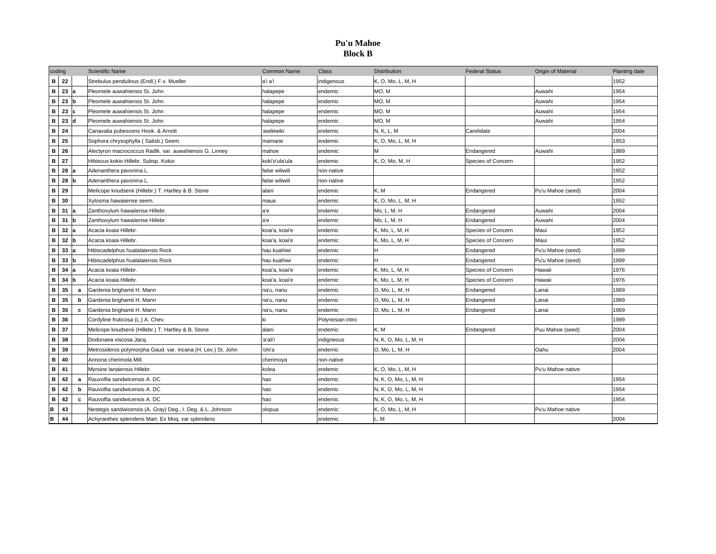### **Pu'u Mahoe Block B**

| coding       |    |   | <b>Scientific Name</b>                                       | <b>Common Name</b> | <b>Class</b>     | <b>Distribution</b>  | <b>Federal Status</b> | Origin of Material | Planting date |
|--------------|----|---|--------------------------------------------------------------|--------------------|------------------|----------------------|-----------------------|--------------------|---------------|
| в            | 22 |   | Strebulus pendulinus (Endl.) F.v. Mueller                    | a'i a'i            | indigenous       | K, O, Mo, L, M, H    |                       |                    | 1952          |
| $\, {\bf B}$ | 23 |   | Pleomele auwahiensis St. John                                | halapepe           | endemic          | MO, M                |                       | Auwahi             | 1954          |
| В            | 23 |   | Pleomele auwahiensis St. John                                | halapepe           | endemic          | MO, M                |                       | Auwahi             | 1954          |
| в            | 23 |   | Pleomele auwahiensis St. John                                | halapepe           | endemic          | MO, M                |                       | Auwahi             | 1954          |
| B            | 23 |   | Pleomele auwahiensis St. John                                | halapepe           | endemic          | MO.M                 |                       | Auwahi             | 1954          |
| B            | 24 |   | Canavalia pubescens Hook. & Arnott                           | 'awikiwiki         | endemic          | N, K, L, M           | Candidate             |                    | 2004          |
| в            | 25 |   | Sophora chrysophylla (Salisb.) Seem.                         | mamane             | endemic          | K, O, Mo, L, M, H    |                       |                    | 1953          |
| B            | 26 |   | Alectyron macrococcus Radlk. var. auwahiensis G. Linney      | mahoe              | endemic          |                      | Endangered            | Auwahi             | 1989          |
| B            | 27 |   | Hibiscus kokio Hillebr. Subsp. Kokio                         | koki'o'ula'ula     | endemic          | K, O, Mo, M, H       | Species of Concern    |                    | 1952          |
| в            | 28 |   | Adenanthera pavonina L.                                      | false wiliwili     | non-native       |                      |                       |                    | 1952          |
| $\mathbf{B}$ | 28 |   | Adenanthera pavonina L.                                      | false wiliwili     | non-native       |                      |                       |                    | 1952          |
| B            | 29 |   | Melicope knudsenii (Hillebr.) T. Hartley & B. Stone          | alani              | endemic          | K, M                 | Endangered            | Pu'u Mahoe (seed)  | 2004          |
| $\mathbf{B}$ | 30 |   | Xylosma hawaiiense seem.                                     | maua               | endemic          | K, O, Mo, L, M, H    |                       |                    | 1952          |
| в            | 31 |   | Zanthoxylum hawaiiense Hillebr.                              | a'e                | endemic          | Mo, L, M, H          | Endangered            | Auwahi             | 2004          |
| В            | 31 |   | Zanthoxylum hawaiiense Hillebr.                              | la'e               | endemic          | Mo. L. M. H          | Endangered            | Auwahi             | 2004          |
| В            | 32 |   | Acacia koaia Hillebr.                                        | koai'a, koai'e     | endemic          | K, Mo, L, M, H       | Species of Concern    | Maui               | 1952          |
| В            | 32 |   | Acacia koaia Hillebr.                                        | koai'a, koai'e     | endemic          | K, Mo, L, M, H       | Species of Concern    | Maui               | 1952          |
| В            | 33 |   | Hibiscadelphus hualalaiensis Rock                            | hau kuahiwi        | endemic          | H                    | Endangered            | Pu'u Mahoe (seed)  | 1999          |
| $\, {\bf B}$ | 33 |   | Hibiscadelphus hualalaiensis Rock                            | hau kuahiwi        | endemic          | H                    | Endangered            | Pu'u Mahoe (seed)  | 1999          |
| B            | 34 |   | Acacia koaia Hillebr.                                        | koai'a, koai'e     | endemic          | K, Mo, L, M, H       | Species of Concern    | Hawaii             | 1976          |
| B            | 34 |   | Acacia koaia Hillebr.                                        | koai'a, koai'e     | endemic          | K, Mo, L, M, H       | Species of Concern    | Hawaii             | 1976          |
| в            | 35 | a | Gardenia brighamii H. Mann                                   | na'u, nanu         | endemic          | O, Mo, L, M, H       | Endangered            | Lanai              | 1989          |
| в            | 35 | b | Gardenia brighamii H. Mann                                   | na'u, nanu         | endemic          | O, Mo, L, M, H       | Endangered            | Lanai              | 1989          |
| в            | 35 | c | Gardenia brighamii H. Mann                                   | na'u, nanu         | endemic          | O, Mo, L, M, H       | Endangered            | Lanai              | 1989          |
| $\mathbf{B}$ | 36 |   | Cordyline fruticosa (L.) A. Chev.                            | ki                 | Polynesian intro |                      |                       |                    | 1989          |
| B            | 37 |   | Melicope knudsenii (Hillebr.) T. Hartley & B. Stone          | alani              | endemic          | K.M                  | Endangered            | Puu Mahoe (seed)   | 2004          |
| $\mathbf{B}$ | 38 |   | Dodonaea viscosa Jacq.                                       | 'a'ali'i           | indigneous       | N, K, O, Mo, L, M, H |                       |                    | 2004          |
| $\mathbf{B}$ | 39 |   | Metrosideros polymorpha Gaud. var. incana (H. Lev.) St. John | 'ohi'a             | endemic          | O, Mo, L, M, H       |                       | Oahu               | 2004          |
| в            | 40 |   | Annona cherimola Mill.                                       | cherimoya          | non-native       |                      |                       |                    |               |
| $\, {\bf B}$ | 41 |   | Myrsine lanaiensis Hillebr.                                  | kolea              | endemic          | K, O, Mo, L, M, H    |                       | Pu'u Mahoe native  |               |
| $\, {\bf B}$ | 42 | a | Rauvolfia sandwicensis A. DC                                 | hao                | endemic          | N, K, O, Mo, L, M, H |                       |                    | 1954          |
| В            | 42 | b | Rauvolfia sandwicensis A. DC                                 | hao                | endemic          | N, K, O, Mo, L, M, H |                       |                    | 1954          |
| в            | 42 | c | Rauvolfia sandwicensis A. DC                                 | hao                | endemic          | N, K, O, Mo, L, M, H |                       |                    | 1954          |
| в            | 43 |   | Nestegis sandwicensis (A. Gray) Deg., I. Deg. & L. Johnson   | olopua             | endemic          | K, O, Mo, L, M, H    |                       | Pu'u Mahoe native  |               |
| B            | 44 |   | Achyranthes splendens Mart. Ex Mog. var splendens            |                    | endemic          | L. M                 |                       |                    | 2004          |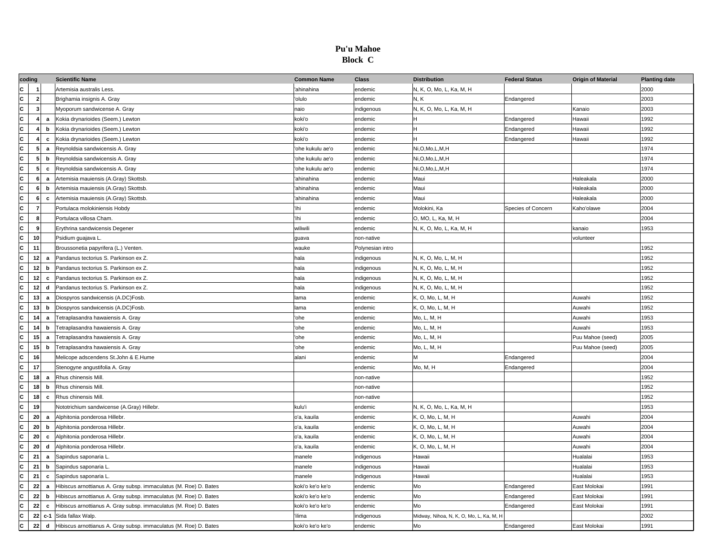#### **Pu'u Mahoe Block C**

| coding                  |                         |              | <b>Scientific Name</b>                                            | <b>Common Name</b> | <b>Class</b>     | <b>Distribution</b>                     | <b>Federal Status</b> | <b>Origin of Material</b> | <b>Planting date</b> |
|-------------------------|-------------------------|--------------|-------------------------------------------------------------------|--------------------|------------------|-----------------------------------------|-----------------------|---------------------------|----------------------|
| C                       | $\overline{\mathbf{1}}$ |              | Artemisia australis Less.                                         | 'ahinahina         | endemic          | N, K, O, Mo, L, Ka, M, H                |                       |                           | 2000                 |
| $\overline{\mathbf{c}}$ | $\overline{\mathbf{2}}$ |              | Brighamia insignis A. Gray                                        | 'olulo             | endemic          | N, K                                    | Endangered            |                           | 2003                 |
| $\overline{\mathbf{c}}$ | $\overline{\mathbf{3}}$ |              | Myoporum sandwicense A. Gray                                      | naio               | indigenous       | N, K, O, Mo, L, Ka, M, H                |                       | Kanaio                    | 2003                 |
| c                       | $\overline{4}$          | a            | Kokia drynarioides (Seem.) Lewton                                 | koki'o             | endemic          | н                                       | Endangered            | Hawaii                    | 1992                 |
| c                       | 4                       | b            | Kokia drynarioides (Seem.) Lewton                                 | koki'o             | endemic          | H.                                      | Endangered            | Hawaii                    | 1992                 |
| $\overline{\mathbf{c}}$ | 4                       | c            | Kokia drynarioides (Seem.) Lewton                                 | koki'o             | endemic          | H.                                      | Endangered            | Hawaii                    | 1992                 |
| c                       | 5                       | a            | Reynoldsia sandwicensis A. Gray                                   | 'ohe kukulu ae'o   | endemic          | Ni,O,Mo,L,M,H                           |                       |                           | 1974                 |
| c                       | -5                      | b            | Reynoldsia sandwicensis A. Gray                                   | 'ohe kukulu ae'o   | endemic          | Ni,O,Mo,L,M,H                           |                       |                           | 1974                 |
| c                       | 5                       | c            | Reynoldsia sandwicensis A. Gray                                   | ohe kukulu ae'o    | endemic          | Ni,O,Mo,L,M,H                           |                       |                           | 1974                 |
| c                       | 6                       | a            | Artemisia mauiensis (A.Gray) Skottsb.                             | 'ahinahina         | endemic          | Maui                                    |                       | Haleakala                 | 2000                 |
| $\overline{\mathbf{c}}$ | 6                       | b            | Artemisia mauiensis (A.Gray) Skottsb.                             | 'ahinahina         | endemic          | Maui                                    |                       | Haleakala                 | 2000                 |
| $\overline{\mathbf{c}}$ | 6                       | $\mathbf{c}$ | Artemisia mauiensis (A.Gray) Skottsb.                             | 'ahinahina         | endemic          | Maui                                    |                       | Haleakala                 | 2000                 |
| C                       | $\overline{7}$          |              | Portulaca molokiniensis Hobdy                                     | ihi                | endemic          | Molokini, Ka                            | Species of Concern    | Kaho'olawe                | 2004                 |
| $\overline{\mathbf{c}}$ | 8                       |              | Portulaca villosa Cham.                                           | 'ihi               | endemic          | O, MO, L, Ka, M, H                      |                       |                           | 2004                 |
| c                       | $\mathbf{9}$            |              | Erythrina sandwicensis Degener                                    | wiliwili           | endemic          | N, K, O, Mo, L, Ka, M, H                |                       | kanaio                    | 1953                 |
| $\overline{\mathbf{c}}$ | 10                      |              | Psidium guajava L.                                                | quava              | non-native       |                                         |                       | volunteer                 |                      |
| $\overline{\mathbf{c}}$ | 11                      |              | Broussonetia papyrifera (L.) Venten.                              | wauke              | Polynesian intro |                                         |                       |                           | 1952                 |
| c                       | 12                      | a            | Pandanus tectorius S. Parkinson ex Z.                             | hala               | indigenous       | N, K, O, Mo, L, M, H                    |                       |                           | 1952                 |
| $\overline{\mathbf{c}}$ | 12                      | b            | Pandanus tectorius S. Parkinson ex Z.                             | hala               | indigenous       | N, K, O, Mo, L, M, H                    |                       |                           | 1952                 |
| c                       | 12                      | $\mathbf{c}$ | Pandanus tectorius S. Parkinson ex Z.                             | hala               | indigenous       | N, K, O, Mo, L, M, H                    |                       |                           | 1952                 |
| c                       | 12                      | d            | Pandanus tectorius S. Parkinson ex Z.                             | hala               | indigenous       | N, K, O, Mo, L, M, H                    |                       |                           | 1952                 |
| c                       | 13                      | a            | Diospyros sandwicensis (A.DC)Fosb.                                | lama               | endemic          | K, O, Mo, L, M, H                       |                       | Auwahi                    | 1952                 |
| c                       | 13                      | b            | Diospyros sandwicensis (A.DC)Fosb.                                | lama               | endemic          | K, O, Mo, L, M, H                       |                       | Auwahi                    | 1952                 |
| c                       | 14                      | a            | Tetraplasandra hawaiensis A. Gray                                 | 'ohe               | endemic          | Mo, L, M, H                             |                       | Auwahi                    | 1953                 |
| c                       | 14                      | b            | Tetraplasandra hawaiensis A. Gray                                 | ohe                | endemic          | Mo, L, M, H                             |                       | Auwahi                    | 1953                 |
| c                       | 15                      | a            | Tetraplasandra hawaiensis A. Gray                                 | 'ohe               | endemic          | Mo, L, M, H                             |                       | Puu Mahoe (seed)          | 2005                 |
| $\overline{\mathbf{c}}$ | 15                      | b            | Tetraplasandra hawaiensis A. Gray                                 | 'ohe               | endemic          | Mo, L, M, H                             |                       | Puu Mahoe (seed)          | 2005                 |
| $\mathbf{c}$            | 16                      |              | Melicope adscendens St.John & E.Hume                              | alani              | endemic          | М                                       | Endangered            |                           | 2004                 |
| c                       | 17                      |              | Stenogyne angustifolia A. Gray                                    |                    | endemic          | Mo, M, H                                | Endangered            |                           | 2004                 |
| $\overline{\mathbf{c}}$ | 18                      | a            | Rhus chinensis Mill.                                              |                    | non-native       |                                         |                       |                           | 1952                 |
| c                       | 18                      | b            | Rhus chinensis Mill.                                              |                    | non-native       |                                         |                       |                           | 1952                 |
| C                       | 18                      | c            | Rhus chinensis Mill                                               |                    | non-native       |                                         |                       |                           | 1952                 |
| $\overline{\mathbf{c}}$ | 19                      |              | Nototrichium sandwicense (A.Gray) Hillebr.                        | kulu'i             | endemic          | N, K, O, Mo, L, Ka, M, H                |                       |                           | 1953                 |
| c                       | 20                      | a            | Alphitonia ponderosa Hillebr.                                     | o'a, kauila        | endemic          | K, O, Mo, L, M, H                       |                       | Auwahi                    | 2004                 |
| $\overline{\mathbf{c}}$ | 20                      | b            | Alphitonia ponderosa Hillebr.                                     | o'a, kauila        | endemic          | K, O, Mo, L, M, H                       |                       | Auwahi                    | 2004                 |
| c                       | 20                      | c            | Alphitonia ponderosa Hillebr.                                     | o'a, kauila        | endemic          | K, O, Mo, L, M, H                       |                       | Auwahi                    | 2004                 |
| c                       | 20                      | d            | Alphitonia ponderosa Hillebr.                                     | o'a, kauila        | endemic          | K, O, Mo, L, M, H                       |                       | Auwahi                    | 2004                 |
| $\overline{\mathbf{c}}$ | 21                      | a            | Sapindus saponaria L.                                             | manele             | indigenous       | Hawaii                                  |                       | Hualalai                  | 1953                 |
| c                       | 21                      | b            | Sapindus saponaria L.                                             | manele             | indigenous       | Hawaii                                  |                       | Hualalai                  | 1953                 |
| c                       | 21                      | $\mathbf c$  | Sapindus saponaria L.                                             | manele             | indigenous       | Hawaii                                  |                       | Hualalai                  | 1953                 |
| c                       | 22                      | a            | Hibiscus arnottianus A. Gray subsp. immaculatus (M. Roe) D. Bates | koki'o ke'o ke'o   | endemic          | Mo                                      | Endangered            | East Molokai              | 1991                 |
| c                       | 22                      | b            | Hibiscus arnottianus A. Gray subsp. immaculatus (M. Roe) D. Bates | koki'o ke'o ke'o   | endemic          | Mo                                      | Endangered            | East Molokai              | 1991                 |
| c                       | 22                      | $\mathbf{c}$ | Hibiscus arnottianus A. Gray subsp. immaculatus (M. Roe) D. Bates | koki'o ke'o ke'o   | endemic          | Mo                                      | Endangered            | East Molokai              | 1991                 |
| c                       | $22$ c-1                |              | Sida fallax Walp                                                  | ilima              | indigenous       | Midway, Nihoa, N, K, O, Mo, L, Ka, M, H |                       |                           | 2002                 |
| c                       | 22                      | d            | Hibiscus arnottianus A. Gray subsp. immaculatus (M. Roe) D. Bates | koki'o ke'o ke'o   | endemic          | Mo                                      | Endangered            | East Molokai              | 1991                 |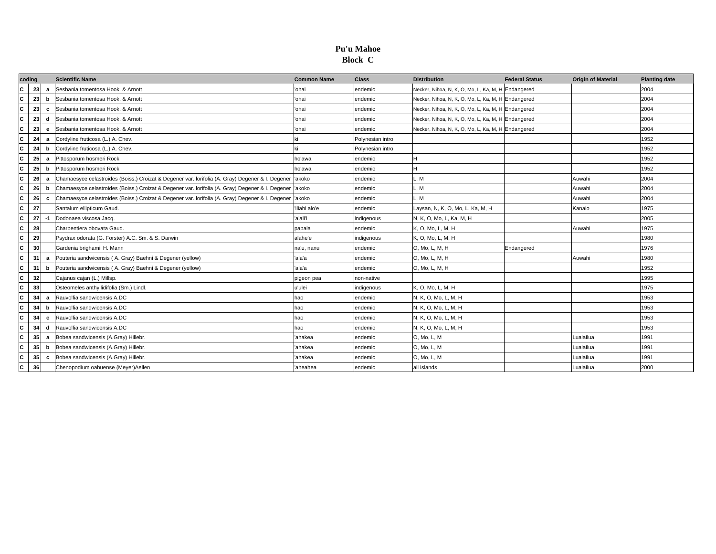### **Pu'u Mahoe Block C**

| coding       |    |                | <b>Scientific Name</b>                                                                                   | <b>Common Name</b> | <b>Class</b>     | <b>Distribution</b>                                | <b>Federal Status</b> | <b>Origin of Material</b> | <b>Planting date</b> |
|--------------|----|----------------|----------------------------------------------------------------------------------------------------------|--------------------|------------------|----------------------------------------------------|-----------------------|---------------------------|----------------------|
| C            | 23 | a              | Sesbania tomentosa Hook. & Arnott                                                                        | ohai               | endemic          | Necker, Nihoa, N, K, O, Mo, L, Ka, M, H Endangered |                       |                           | 2004                 |
| c            | 23 | b              | Sesbania tomentosa Hook, & Arnott                                                                        | 'ohai              | endemic          | Necker, Nihoa, N, K, O, Mo, L, Ka, M, H Endangered |                       |                           | 2004                 |
| C            | 23 | c              | Sesbania tomentosa Hook, & Arnott                                                                        | 'ohai              | endemic          | Necker, Nihoa, N, K, O, Mo, L, Ka, M, H Endangered |                       |                           | 2004                 |
| C            | 23 | d              | Sesbania tomentosa Hook, & Arnott                                                                        | 'ohai              | endemic          | Necker, Nihoa, N, K, O, Mo, L, Ka, M, H Endangered |                       |                           | 2004                 |
| c            | 23 | е              | Sesbania tomentosa Hook, & Arnott                                                                        | 'ohai              | endemic          | Necker, Nihoa, N, K, O, Mo, L, Ka, M, H Endangered |                       |                           | 2004                 |
| c            | 24 | a              | Cordyline fruticosa (L.) A. Chev.                                                                        |                    | Polynesian intro |                                                    |                       |                           | 1952                 |
| C            | 24 | b              | Cordyline fruticosa (L.) A. Chev.                                                                        |                    | Polynesian intro |                                                    |                       |                           | 1952                 |
| C            | 25 | a              | Pittosporum hosmeri Rock                                                                                 | ho'awa             | endemic          |                                                    |                       |                           | 1952                 |
| C            | 25 | b              | Pittosporum hosmeri Rock                                                                                 | ho'awa             | endemic          |                                                    |                       |                           | 1952                 |
| c            | 26 | a              | Chamaesyce celastroides (Boiss.) Croizat & Degener var. Iorifolia (A. Gray) Degener & I. Degener  'akoko |                    | endemic          | L, M                                               |                       | Auwahi                    | 2004                 |
| C            | 26 | b              | Chamaesyce celastroides (Boiss.) Croizat & Degener var. Iorifolia (A. Gray) Degener & I. Degener         | 'akoko             | endemic          | L, M                                               |                       | Auwahi                    | 2004                 |
| C            | 26 | c              | Chamaesyce celastroides (Boiss.) Croizat & Degener var. lorifolia (A. Gray) Degener & I. Degener         | 'akoko             | endemic          | L, M                                               |                       | Auwahi                    | 2004                 |
| C            | 27 |                | Santalum ellipticum Gaud.                                                                                | 'iliahi alo'e      | endemic          | Laysan, N, K, O, Mo, L, Ka, M, H                   |                       | Kanaio                    | 1975                 |
| C            | 27 | -1             | Dodonaea viscosa Jacq.                                                                                   | 'a'ali'i           | indigenous       | N, K, O, Mo, L, Ka, M, H                           |                       |                           | 2005                 |
| C            | 28 |                | Charpentiera obovata Gaud.                                                                               | papala             | endemic          | K, O, Mo, L, M, H                                  |                       | Auwahi                    | 1975                 |
| C            | 29 |                | Psydrax odorata (G. Forster) A.C. Sm. & S. Darwin                                                        | alahe'e            | indigenous       | K, O, Mo, L, M, H                                  |                       |                           | 1980                 |
| C            | 30 |                | Gardenia brighamii H. Mann                                                                               | na'u, nanu         | endemic          | O, Mo, L, M, H                                     | Endangered            |                           | 1976                 |
| C            | 31 | $\overline{a}$ | Pouteria sandwicensis (A. Gray) Baehni & Degener (yellow)                                                | 'ala'a             | endemic          | O, Mo, L, M, H                                     |                       | Auwahi                    | 1980                 |
| C            | 31 | h              | Pouteria sandwicensis (A. Gray) Baehni & Degener (yellow)                                                | 'ala'a             | endemic          | O, Mo, L, M, H                                     |                       |                           | 1952                 |
| c            | 32 |                | Cajanus cajan (L.) Millsp.                                                                               | pigeon pea         | non-native       |                                                    |                       |                           | 1995                 |
| C            | 33 |                | Osteomeles anthyllidifolia (Sm.) Lindl.                                                                  | u'ulei             | indigenous       | K. O. Mo. L. M. H                                  |                       |                           | 1975                 |
| C            | 34 | a              | Rauvolfia sandwicensis A.DC                                                                              | hao                | endemic          | N, K, O, Mo, L, M, H                               |                       |                           | 1953                 |
| C            | 34 | b              | Rauvolfia sandwicensis A.DC                                                                              | hao                | endemic          | N, K, O, Mo, L, M, H                               |                       |                           | 1953                 |
| c            | 34 | c              | Rauvolfia sandwicensis A.DC                                                                              | hao                | endemic          | N, K, O, Mo, L, M, H                               |                       |                           | 1953                 |
| c            | 34 | d              | Rauvolfia sandwicensis A.DC                                                                              | hao                | endemic          | N, K, O, Mo, L, M, H                               |                       |                           | 1953                 |
| c            | 35 | a              | Bobea sandwicensis (A.Gray) Hillebr.                                                                     | ahakea             | endemic          | O, Mo, L, M                                        |                       | Lualailua                 | 1991                 |
| C            | 35 | b              | Bobea sandwicensis (A.Gray) Hillebr.                                                                     | ahakea             | endemic          | O, Mo, L, M                                        |                       | Lualailua                 | 1991                 |
| C            | 35 | c              | Bobea sandwicensis (A.Gray) Hillebr.                                                                     | ahakea             | endemic          | O, Mo, L, M                                        |                       | Lualailua                 | 1991                 |
| $\mathbf{c}$ | 36 |                | Chenopodium oahuense (Meyer)Aellen                                                                       | aheahea            | endemic          | all islands                                        |                       | Lualailua                 | 2000                 |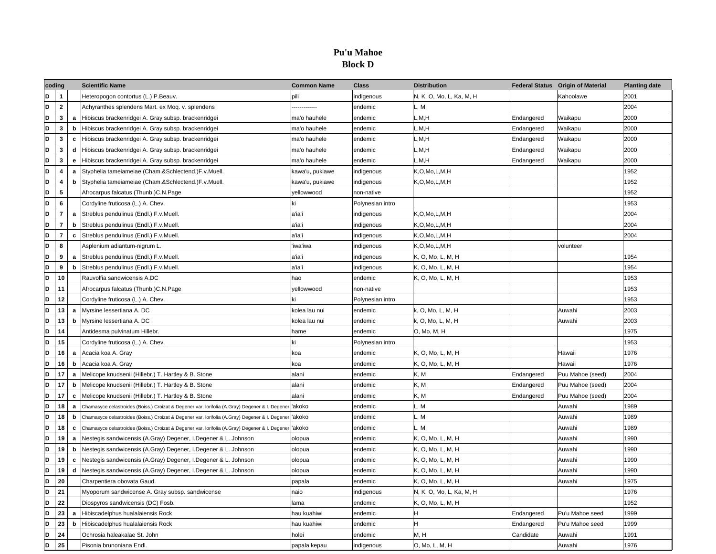# **Pu'u Mahoe Block D**

| coding |                         |   | <b>Scientific Name</b>                                                                                             | <b>Common Name</b> | <b>Class</b>     | <b>Distribution</b>      |            | Federal Status Origin of Material | <b>Planting date</b> |
|--------|-------------------------|---|--------------------------------------------------------------------------------------------------------------------|--------------------|------------------|--------------------------|------------|-----------------------------------|----------------------|
| D      | $\mathbf{1}$            |   | Heteropogon contortus (L.) P.Beauv.                                                                                | pili               | indigenous       | N, K, O, Mo, L, Ka, M, H |            | Kahoolawe                         | 2001                 |
| D      | $\overline{2}$          |   | Achyranthes splendens Mart. ex Moq. v. splendens                                                                   |                    | endemic          | L, M                     |            |                                   | 2004                 |
| D      | 3                       | a | Hibiscus brackenridgei A. Gray subsp. brackenridgei                                                                | ma'o hauhele       | endemic          | L,M,H                    | Endangered | Waikapu                           | 2000                 |
| D      | 3                       | b | Hibiscus brackenridgei A. Gray subsp. brackenridgei                                                                | ma'o hauhele       | endemic          | L.M.H                    | Endangered | Waikapu                           | 2000                 |
| D      | 3                       | C | Hibiscus brackenridgei A. Gray subsp. brackenridgei                                                                | ma'o hauhele       | endemic          | L.M.H                    | Endangered | Waikapu                           | 2000                 |
| D      | 3                       | d | Hibiscus brackenridgei A. Gray subsp. brackenridgei                                                                | ma'o hauhele       | endemic          | L,M,H                    | Endangered | Waikapu                           | 2000                 |
| D      | 3                       | e | Hibiscus brackenridgei A. Gray subsp. brackenridgei                                                                | ma'o hauhele       | endemic          | L, M, H                  | Endangered | Waikapu                           | 2000                 |
| D      | 4                       | a | Styphelia tameiameiae (Cham.&Schlectend.)F.v.Muell.                                                                | kawa'u, pukiawe    | indigenous       | K,O,Mo,L,M,H             |            |                                   | 1952                 |
| D      | 4                       | b | Styphelia tameiameiae (Cham.&Schlectend.)F.v.Muell.                                                                | kawa'u, pukiawe    | indigenous       | K, O, Mo, L, M, H        |            |                                   | 1952                 |
| D      | 5                       |   | Afrocarpus falcatus (Thunb.)C.N.Page                                                                               | yellowwood         | non-native       |                          |            |                                   | 1952                 |
| D      | 6                       |   | Cordyline fruticosa (L.) A. Chev.                                                                                  | ki                 | Polynesian intro |                          |            |                                   | 1953                 |
| D      | $\overline{7}$          | a | Streblus pendulinus (Endl.) F.v.Muell.                                                                             | a'ia'i             | indigenous       | K, O, Mo, L, M, H        |            |                                   | 2004                 |
| D      | $\overline{\mathbf{r}}$ | b | Streblus pendulinus (Endl.) F.v.Muell.                                                                             | a'ia'i             | indigenous       | K,O,Mo,L,M,H             |            |                                   | 2004                 |
| D      | $\overline{7}$          | C | Streblus pendulinus (Endl.) F.v.Muell.                                                                             | a'ia'i             | indigenous       | K, O, Mo, L, M, H        |            |                                   | 2004                 |
| D      | 8                       |   | Asplenium adiantum-nigrum L.                                                                                       | 'iwa'iwa           | indigenous       | K, O, Mo, L, M, H        |            | volunteer                         |                      |
| D      | 9                       | a | Streblus pendulinus (Endl.) F.v.Muell.                                                                             | a'ia'i             | indigenous       | K, O, Mo, L, M, H        |            |                                   | 1954                 |
| D      | 9                       | b | Streblus pendulinus (Endl.) F.v.Muell.                                                                             | a'ia'i             | indigenous       | K, O, Mo, L, M, H        |            |                                   | 1954                 |
| D      | 10                      |   | Rauvolfia sandwicensis A.DC                                                                                        | hao                | endemic          | K, O, Mo, L, M, H        |            |                                   | 1953                 |
| D      | 11                      |   | Afrocarpus falcatus (Thunb.)C.N.Page                                                                               | vellowwood         | non-native       |                          |            |                                   | 1953                 |
| D      | 12                      |   | Cordyline fruticosa (L.) A. Chev.                                                                                  |                    | Polynesian intro |                          |            |                                   | 1953                 |
| D      | 13                      | a | Myrsine lessertiana A. DC                                                                                          | kolea lau nui      | endemic          | k, O, Mo, L, M, H        |            | Auwahi                            | 2003                 |
| D      | 13                      | b | Myrsine lessertiana A. DC                                                                                          | kolea lau nui      | endemic          | k, O, Mo, L, M, H        |            | Auwahi                            | 2003                 |
| D      | 14                      |   | Antidesma pulvinatum Hillebr.                                                                                      | hame               | endemic          | O, Mo, M, H              |            |                                   | 1975                 |
| D      | 15                      |   | Cordyline fruticosa (L.) A. Chev.                                                                                  | ki                 | Polynesian intro |                          |            |                                   | 1953                 |
| D      | 16                      | a | Acacia koa A. Gray                                                                                                 | koa                | endemic          | K, O, Mo, L, M, H        |            | Hawaii                            | 1976                 |
| D      | 16                      | b | Acacia koa A. Gray                                                                                                 | koa                | endemic          | K, O, Mo, L, M, H        |            | Hawaii                            | 1976                 |
| D      | 17                      | a | Melicope knudsenii (Hillebr.) T. Hartley & B. Stone                                                                | alani              | endemic          | K, M                     | Endangered | Puu Mahoe (seed)                  | 2004                 |
| D      | 17                      | b | Melicope knudsenii (Hillebr.) T. Hartley & B. Stone                                                                | alani              | endemic          | K, M                     | Endangered | Puu Mahoe (seed)                  | 2004                 |
| D      | 17                      | c | Melicope knudsenii (Hillebr.) T. Hartley & B. Stone                                                                | alani              | endemic          | K.M                      | Endangered | Puu Mahoe (seed)                  | 2004                 |
| D      | 18                      | a | Chamasyce celastroides (Boiss.) Croizat & Degener var. Iorifolia (A.Gray) Degener & I. Degener <sup>I</sup> 'akoko |                    | endemic          | L. M                     |            | Auwahi                            | 1989                 |
| D      | 18                      | b | Chamasyce celastroides (Boiss.) Croizat & Degener var. Iorifolia (A.Gray) Degener & I. Degener   'akoko            |                    | endemic          | L, M                     |            | Auwahi                            | 1989                 |
| D      | 18                      | C | Chamasyce celastroides (Boiss.) Croizat & Degener var. Iorifolia (A.Gray) Degener & I. Degener 'akoko              |                    | endemic          | L, M                     |            | Auwahi                            | 1989                 |
| D      | 19                      | a | Nestegis sandwicensis (A.Gray) Degener, I.Degener & L. Johnson                                                     | olopua             | endemic          | K, O, Mo, L, M, H        |            | Auwahi                            | 1990                 |
| D      | 19                      | b | Nestegis sandwicensis (A.Gray) Degener, I.Degener & L. Johnson                                                     | olopua             | endemic          | K, O, Mo, L, M, H        |            | Auwahi                            | 1990                 |
| D      | 19                      | C | Nestegis sandwicensis (A.Gray) Degener, I.Degener & L. Johnson                                                     | olopua             | endemic          | K, O, Mo, L, M, H        |            | Auwahi                            | 1990                 |
| D      | 19                      | d | Nestegis sandwicensis (A.Gray) Degener, I.Degener & L. Johnson                                                     | olopua             | endemic          | K, O, Mo, L, M, H        |            | Auwahi                            | 1990                 |
| D      | 20                      |   | Charpentiera obovata Gaud.                                                                                         | papala             | endemic          | K, O, Mo, L, M, H        |            | Auwahi                            | 1975                 |
| D      | 21                      |   | Myoporum sandwicense A. Gray subsp. sandwicense                                                                    | naio               | indigenous       | N, K, O, Mo, L, Ka, M, H |            |                                   | 1976                 |
| D      | 22                      |   | Diospyros sandwicensis (DC) Fosb.                                                                                  | lama               | endemic          | K, O, Mo, L, M, H        |            |                                   | 1952                 |
| D      | 23                      | a | Hibiscadelphus hualalaiensis Rock                                                                                  | hau kuahiwi        | endemic          | H                        | Endangered | Pu'u Mahoe seed                   | 1999                 |
| D      | 23                      | b | Hibiscadelphus hualalaiensis Rock                                                                                  | hau kuahiwi        | endemic          | H                        | Endangered | Pu'u Mahoe seed                   | 1999                 |
| D      | 24                      |   | Ochrosia haleakalae St. John                                                                                       | holei              | endemic          | M, H                     | Candidate  | Auwahi                            | 1991                 |
| D      | 25                      |   | Pisonia brunoniana Endl.                                                                                           | papala kepau       | indigenous       | O, Mo, L, M, H           |            | Auwahi                            | 1976                 |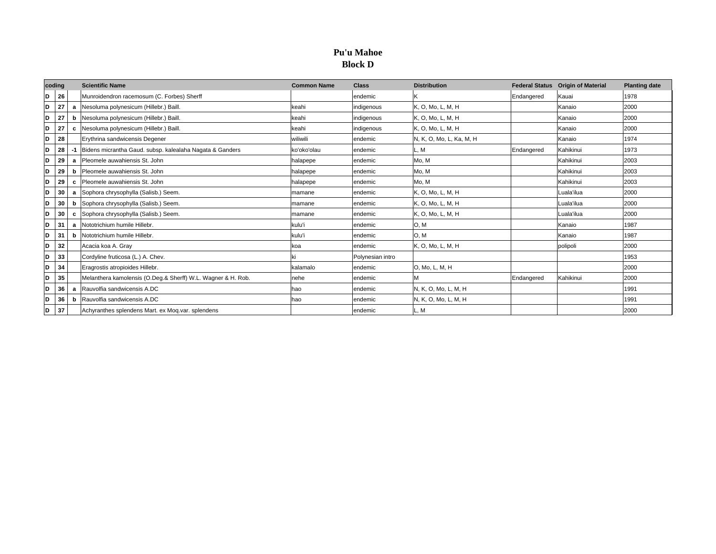# **Pu'u Mahoe Block D**

| coding  |                | <b>Scientific Name</b>                                       | <b>Common Name</b> | <b>Class</b>     | <b>Distribution</b>      |            | <b>Federal Status Origin of Material</b> | <b>Planting date</b> |
|---------|----------------|--------------------------------------------------------------|--------------------|------------------|--------------------------|------------|------------------------------------------|----------------------|
| D<br>26 |                | Munroidendron racemosum (C. Forbes) Sherff                   |                    | endemic          | Κ                        | Endangered | Kauai                                    | 1978                 |
| D<br>27 | a              | Nesoluma polynesicum (Hillebr.) Baill.                       | keahi              | indigenous       | K, O, Mo, L, M, H        |            | Kanaio                                   | 2000                 |
| D<br>27 | b              | Nesoluma polynesicum (Hillebr.) Baill.                       | keahi              | indigenous       | K, O, Mo, L, M, H        |            | Kanaio                                   | 2000                 |
| D<br>27 | c              | Nesoluma polynesicum (Hillebr.) Baill.                       | keahi              | indigenous       | K, O, Mo, L, M, H        |            | Kanaio                                   | 2000                 |
| D<br>28 |                | Erythrina sandwicensis Degener                               | wiliwili           | endemic          | N, K, O, Mo, L, Ka, M, H |            | Kanaio                                   | 1974                 |
| D<br>28 |                | Bidens micrantha Gaud. subsp. kalealaha Nagata & Ganders     | ko'oko'olau        | endemic          | L. M                     | Endangered | Kahikinui                                | 1973                 |
| D<br>29 | a              | Pleomele auwahiensis St. John                                | halapepe           | endemic          | Mo. M                    |            | Kahikinui                                | 2003                 |
| D<br>29 | b              | Pleomele auwahiensis St. John                                | halapepe           | endemic          | Mo, M                    |            | Kahikinui                                | 2003                 |
| D<br>29 | c              | Pleomele auwahiensis St. John                                | halapepe           | endemic          | Mo, M                    |            | Kahikinui                                | 2003                 |
| D<br>30 | a              | Sophora chrysophylla (Salisb.) Seem.                         | mamane             | endemic          | K, O, Mo, L, M, H        |            | Luala'ilua                               | 2000                 |
| D<br>30 |                | <b>b</b> Sophora chrysophylla (Salisb.) Seem.                | mamane             | endemic          | K, O, Mo, L, M, H        |            | Luala'ilua                               | 2000                 |
| D<br>30 | c              | Sophora chrysophylla (Salisb.) Seem.                         | mamane             | endemic          | K, O, Mo, L, M, H        |            | Luala'ilua                               | 2000                 |
| D<br>31 | a              | Nototrichium humile Hillebr.                                 | kulu'i             | endemic          | O, M                     |            | Kanaio                                   | 1987                 |
| D<br>31 | b              | Nototrichium humile Hillebr.                                 | kulu'i             | endemic          | O, M                     |            | Kanaio                                   | 1987                 |
| D<br>32 |                | Acacia koa A. Gray                                           | koa                | endemic          | K, O, Mo, L, M, H        |            | polipoli                                 | 2000                 |
| D<br>33 |                | Cordyline fruticosa (L.) A. Chev.                            |                    | Polynesian intro |                          |            |                                          | 1953                 |
| D<br>34 |                | Eragrostis atropioides Hillebr.                              | kalamalo           | endemic          | O, Mo, L, M, H           |            |                                          | 2000                 |
| D<br>35 |                | Melanthera kamolensis (O.Deg.& Sherff) W.L. Wagner & H. Rob. | nehe               | endemic          |                          | Endangered | Kahikinui                                | 2000                 |
| D<br>36 | $\overline{a}$ | Rauvolfia sandwicensis A.DC                                  | hao                | endemic          | N, K, O, Mo, L, M, H     |            |                                          | 1991                 |
| D<br>36 | b              | Rauvolfia sandwicensis A.DC                                  | hao                | endemic          | N, K, O, Mo, L, M, H     |            |                                          | 1991                 |
| D<br>37 |                | Achyranthes splendens Mart. ex Mog.var. splendens            |                    | endemic          | L, M                     |            |                                          | 2000                 |